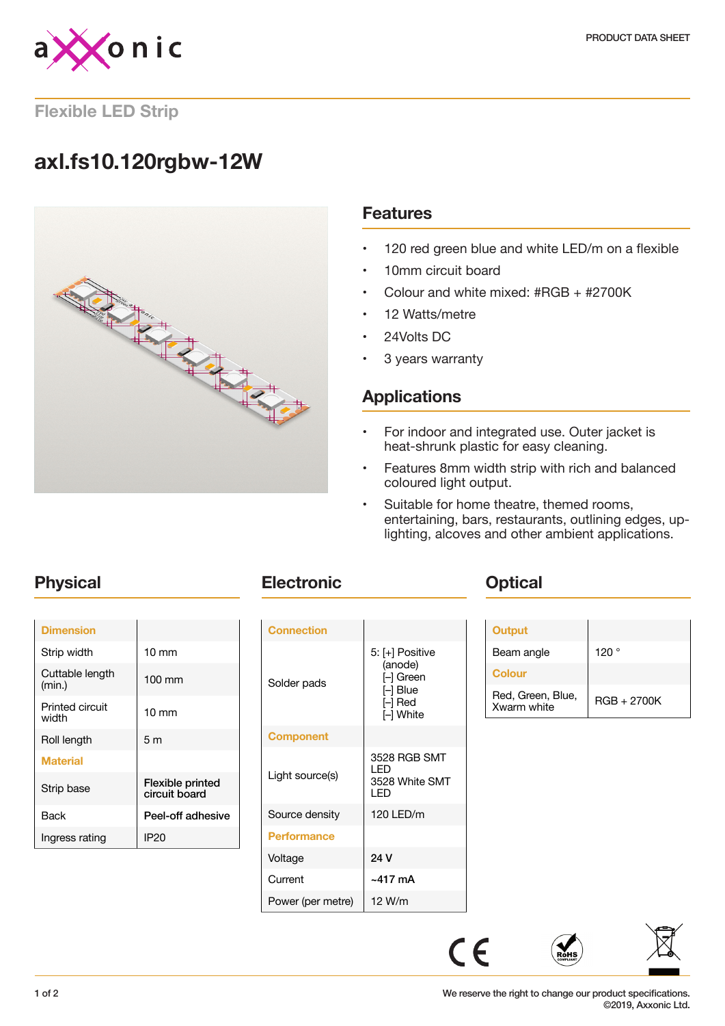

### **Flexible LED Strip**

# **axl.fs10.120rgbw-12W**



### **Features**

- 120 red green blue and white LED/m on a flexible
- 10mm circuit board
- Colour and white mixed: #RGB + #2700K
- 12 Watts/metre
- 24Volts DC
- 3 years warranty

# **Applications**

- For indoor and integrated use. Outer jacket is heat-shrunk plastic for easy cleaning.
- Features 8mm width strip with rich and balanced coloured light output.
- Suitable for home theatre, themed rooms, entertaining, bars, restaurants, outlining edges, uplighting, alcoves and other ambient applications.

| <b>Dimension</b>          |                                   |
|---------------------------|-----------------------------------|
| Strip width               | $10 \text{ mm}$                   |
| Cuttable length<br>(min.) | 100 mm                            |
| Printed circuit<br>width  | $10 \text{ mm}$                   |
| Roll length               | 5 <sub>m</sub>                    |
| <b>Material</b>           |                                   |
| Strip base                | Flexible printed<br>circuit board |
| Back                      | Peel-off adhesive                 |
| Ingress rating            | IP20                              |

# **Physical Electronic Optical**

| <b>Connection</b>  |                                                                               |
|--------------------|-------------------------------------------------------------------------------|
| Solder pads        | 5: [+] Positive<br>(anode)<br>l–l Green<br>$\Box$ Blue<br>[–] Red<br>⊩l White |
| <b>Component</b>   |                                                                               |
| Light source(s)    | 3528 RGB SMT<br>I FD<br>3528 White SMT<br>I FD                                |
| Source density     | 120 LED/m                                                                     |
| <b>Performance</b> |                                                                               |
| Voltage            | 24 V                                                                          |
| Current            | ~417 mA                                                                       |
| Power (per metre)  | 12 W/m                                                                        |

| Output                           |                |
|----------------------------------|----------------|
| Beam angle                       | 120 $^{\circ}$ |
| Colour                           |                |
| Red, Green, Blue,<br>Xwarm white | $RGB + 2700K$  |



### We reserve the right to change our product specifications. ©2019, Axxonic Ltd.

 $C \in$